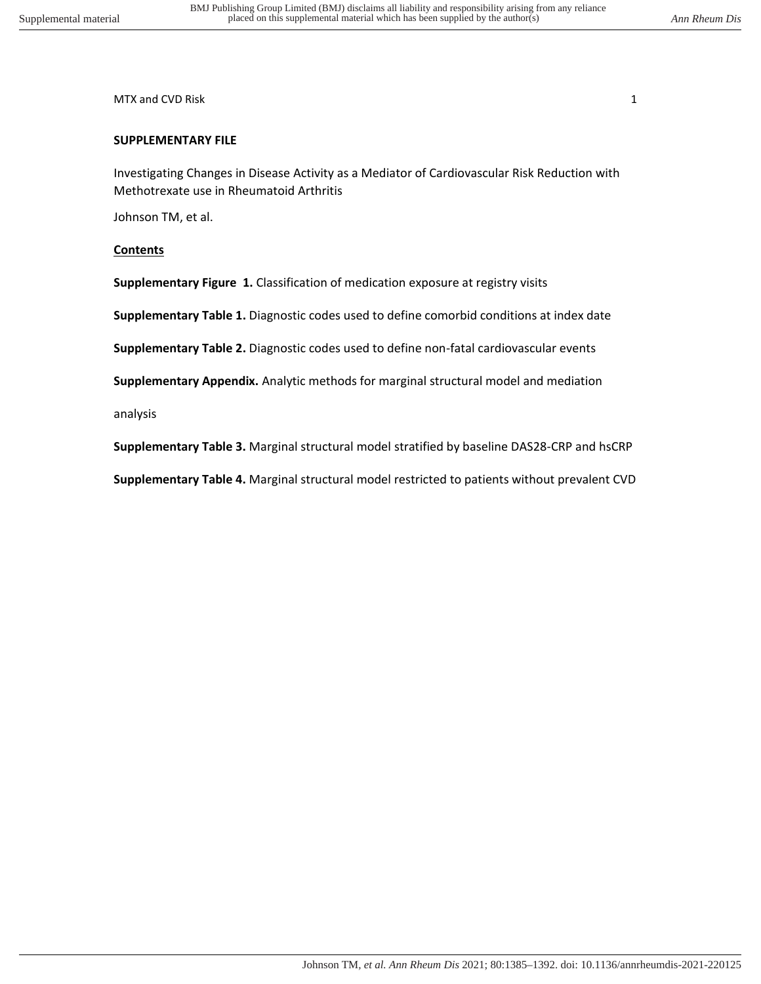MTX and CVD Risk 1 and 2008 and 2008 and 2008 and 2008 and 2008 and 2008 and 2008 and 2008 and 2008 and 2008 and 2008 and 2008 and 2008 and 2008 and 2008 and 2008 and 2008 and 2008 and 2008 and 2008 and 2008 and 2008 and 2

# **SUPPLEMENTARY FILE**

Investigating Changes in Disease Activity as a Mediator of Cardiovascular Risk Reduction with Methotrexate use in Rheumatoid Arthritis

Johnson TM, et al.

# **Contents**

**Supplementary Figure 1.** Classification of medication exposure at registry visits

**Supplementary Table 1.** Diagnostic codes used to define comorbid conditions at index date

**Supplementary Table 2.** Diagnostic codes used to define non-fatal cardiovascular events

**Supplementary Appendix.** Analytic methods for marginal structural model and mediation

analysis

**Supplementary Table 3.** Marginal structural model stratified by baseline DAS28-CRP and hsCRP

**Supplementary Table 4.** Marginal structural model restricted to patients without prevalent CVD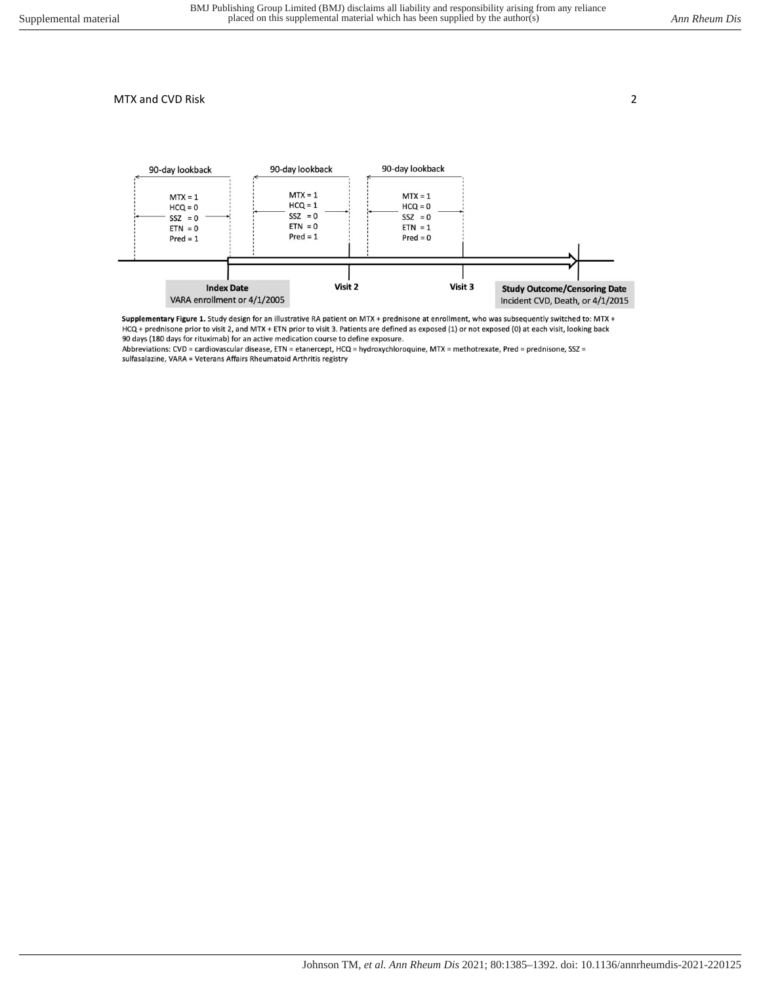

Supplementary Figure 1. Study design for an illustrative RA patient on MTX + prednisone at enrollment, who was subsequently switched to: MTX + HCQ + prednisone prior to visit 2, and MTX + ETN prior to visit 3. Patients are defined as exposed (1) or not exposed (0) at each visit, looking back 90 days (180 days for rituximab) for an active medication course to define exposure.

Abbreviations: CVD = cardiovascular disease, ETN = etanercept, HCQ = hydroxychloroquine, MTX = methotrexate, Pred = prednisone, SSZ = sulfasalazine, VARA = Veterans Affairs Rheumatoid Arthritis registry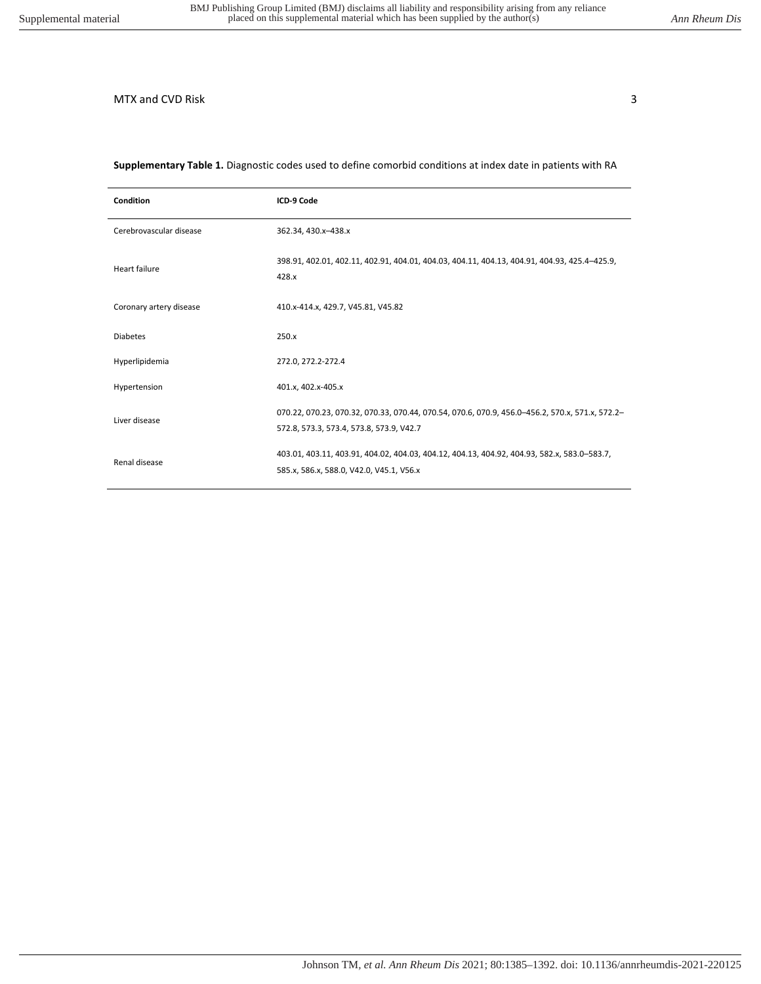### **Supplementary Table 1.** Diagnostic codes used to define comorbid conditions at index date in patients with RA

| <b>Condition</b>        | ICD-9 Code                                                                                                                                  |
|-------------------------|---------------------------------------------------------------------------------------------------------------------------------------------|
| Cerebrovascular disease | 362.34, 430.x-438.x                                                                                                                         |
| Heart failure           | 398.91, 402.01, 402.11, 402.91, 404.01, 404.03, 404.11, 404.13, 404.91, 404.93, 425.4-425.9,<br>428.x                                       |
| Coronary artery disease | 410.x-414.x, 429.7, V45.81, V45.82                                                                                                          |
| <b>Diabetes</b>         | 250.x                                                                                                                                       |
| Hyperlipidemia          | 272.0, 272.2-272.4                                                                                                                          |
| Hypertension            | 401.x, 402.x-405.x                                                                                                                          |
| Liver disease           | 070.22, 070.23, 070.32, 070.33, 070.44, 070.54, 070.6, 070.9, 456.0-456.2, 570.x, 571.x, 572.2-<br>572.8, 573.3, 573.4, 573.8, 573.9, V42.7 |
| Renal disease           | 403.01, 403.11, 403.91, 404.02, 404.03, 404.12, 404.13, 404.92, 404.93, 582.x, 583.0-583.7,<br>585.x, 586.x, 588.0, V42.0, V45.1, V56.x     |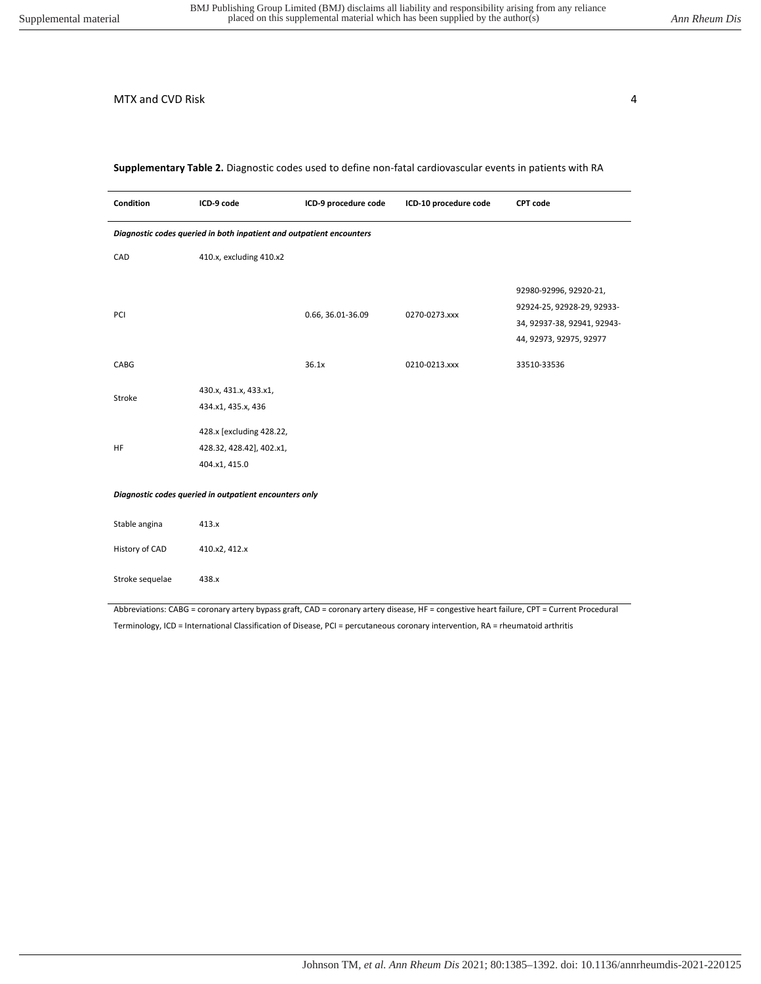**Supplementary Table 2.** Diagnostic codes used to define non-fatal cardiovascular events in patients with RA

| Condition                                                            | ICD-9 code                                                            | ICD-9 procedure code | ICD-10 procedure code | <b>CPT code</b>                                                                                                |
|----------------------------------------------------------------------|-----------------------------------------------------------------------|----------------------|-----------------------|----------------------------------------------------------------------------------------------------------------|
| Diagnostic codes queried in both inpatient and outpatient encounters |                                                                       |                      |                       |                                                                                                                |
| CAD                                                                  | 410.x, excluding 410.x2                                               |                      |                       |                                                                                                                |
| PCI                                                                  |                                                                       | 0.66, 36.01-36.09    | 0270-0273.xxx         | 92980-92996, 92920-21,<br>92924-25, 92928-29, 92933-<br>34, 92937-38, 92941, 92943-<br>44, 92973, 92975, 92977 |
| CABG                                                                 |                                                                       | 36.1x                | 0210-0213.xxx         | 33510-33536                                                                                                    |
| Stroke                                                               | 430.x, 431.x, 433.x1,<br>434.x1, 435.x, 436                           |                      |                       |                                                                                                                |
| HF                                                                   | 428.x [excluding 428.22,<br>428.32, 428.42], 402.x1,<br>404.x1, 415.0 |                      |                       |                                                                                                                |
| Diagnostic codes queried in outpatient encounters only               |                                                                       |                      |                       |                                                                                                                |
| Stable angina                                                        | 413.x                                                                 |                      |                       |                                                                                                                |
| History of CAD                                                       | 410.x2, 412.x                                                         |                      |                       |                                                                                                                |
| Stroke sequelae                                                      | 438.x                                                                 |                      |                       |                                                                                                                |

Abbreviations: CABG = coronary artery bypass graft, CAD = coronary artery disease, HF = congestive heart failure, CPT = Current Procedural Terminology, ICD = International Classification of Disease, PCI = percutaneous coronary intervention, RA = rheumatoid arthritis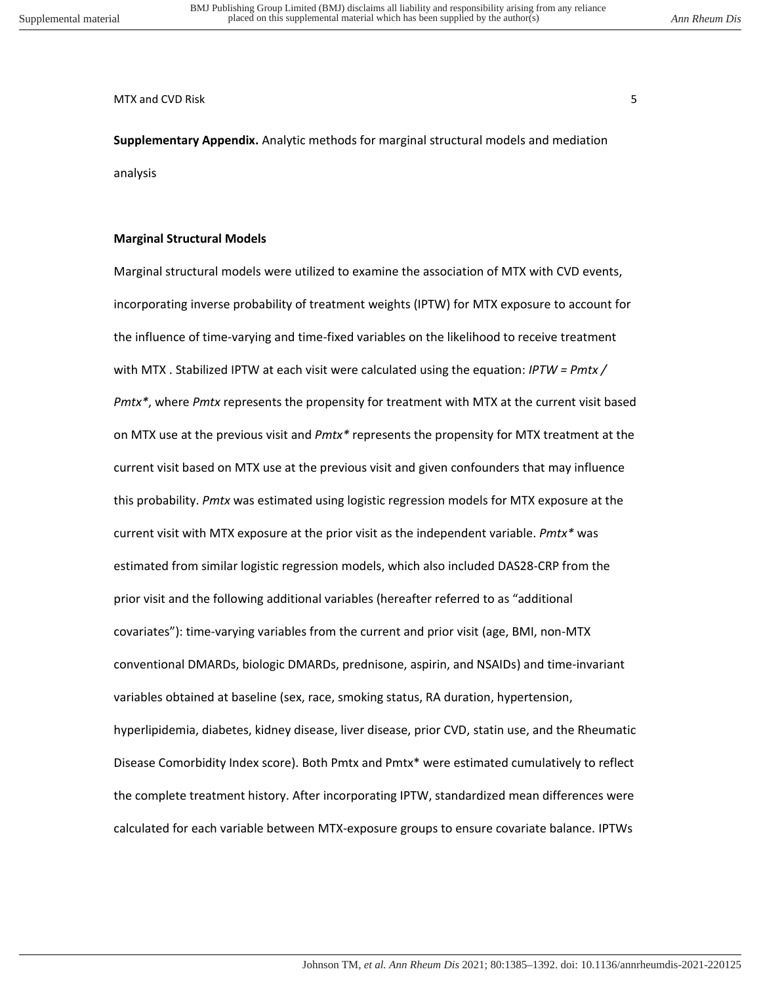MTX and CVD Risk 5 and SMTX and CVD Risk 5 and  $\sim$  5 and 5 and 5 and 5 and 5 and 5 and 5 and 5 and 5 and 5 and 5 and 5 and 5 and 5 and 5 and 5 and 5 and 5 and 5 and 5 and 5 and 5 and 5 and 5 and 5 and 5 and 5 and 5 and 5

**Supplementary Appendix.** Analytic methods for marginal structural models and mediation analysis

## **Marginal Structural Models**

Marginal structural models were utilized to examine the association of MTX with CVD events, incorporating inverse probability of treatment weights (IPTW) for MTX exposure to account for the influence of time-varying and time-fixed variables on the likelihood to receive treatment with MTX . Stabilized IPTW at each visit were calculated using the equation: *IPTW = Pmtx / Pmtx\**, where *Pmtx* represents the propensity for treatment with MTX at the current visit based on MTX use at the previous visit and *Pmtx\** represents the propensity for MTX treatment at the current visit based on MTX use at the previous visit and given confounders that may influence this probability. *Pmtx* was estimated using logistic regression models for MTX exposure at the current visit with MTX exposure at the prior visit as the independent variable. *Pmtx\** was estimated from similar logistic regression models, which also included DAS28-CRP from the prior visit and the following additional variables (hereafter referred to as "additional covariates"): time-varying variables from the current and prior visit (age, BMI, non-MTX conventional DMARDs, biologic DMARDs, prednisone, aspirin, and NSAIDs) and time-invariant variables obtained at baseline (sex, race, smoking status, RA duration, hypertension, hyperlipidemia, diabetes, kidney disease, liver disease, prior CVD, statin use, and the Rheumatic Disease Comorbidity Index score). Both Pmtx and Pmtx\* were estimated cumulatively to reflect the complete treatment history. After incorporating IPTW, standardized mean differences were calculated for each variable between MTX-exposure groups to ensure covariate balance. IPTWs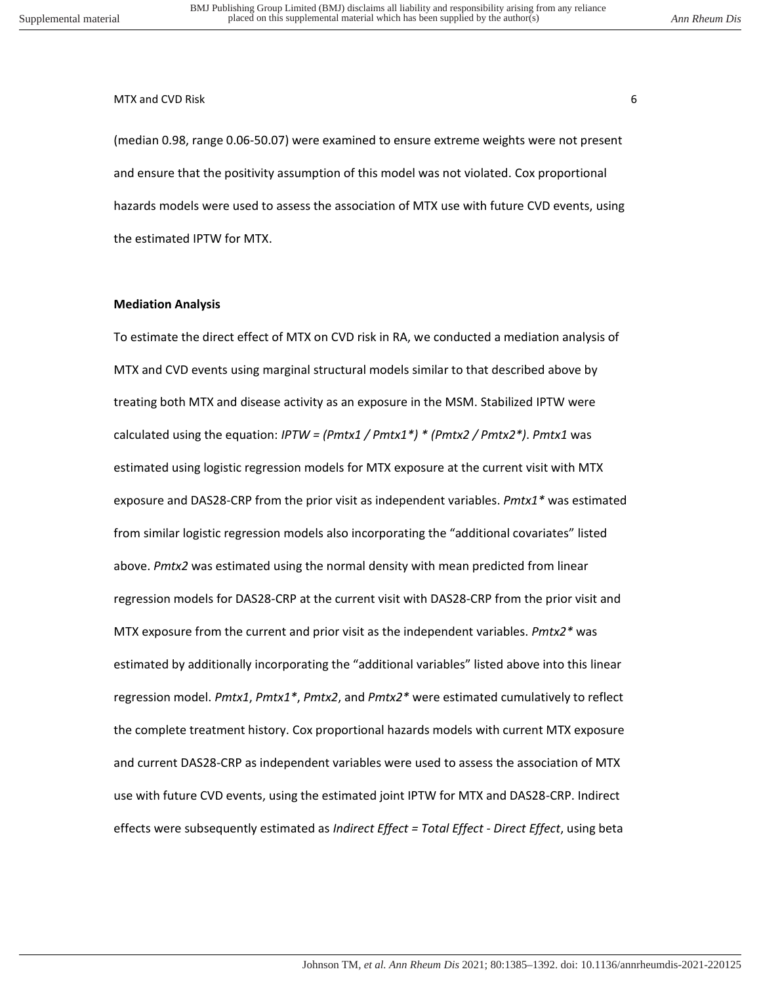#### MTX and CVD Risk 6 to the contract of the contract of the contract of the contract of the contract of the contract of the contract of the contract of the contract of the contract of the contract of the contract of the cont

(median 0.98, range 0.06-50.07) were examined to ensure extreme weights were not present and ensure that the positivity assumption of this model was not violated. Cox proportional hazards models were used to assess the association of MTX use with future CVD events, using the estimated IPTW for MTX.

#### **Mediation Analysis**

To estimate the direct effect of MTX on CVD risk in RA, we conducted a mediation analysis of MTX and CVD events using marginal structural models similar to that described above by treating both MTX and disease activity as an exposure in the MSM. Stabilized IPTW were calculated using the equation: *IPTW = (Pmtx1 / Pmtx1\*) \* (Pmtx2 / Pmtx2\*)*. *Pmtx1* was estimated using logistic regression models for MTX exposure at the current visit with MTX exposure and DAS28-CRP from the prior visit as independent variables. *Pmtx1\** was estimated from similar logistic regression models also incorporating the "additional covariates" listed above. *Pmtx2* was estimated using the normal density with mean predicted from linear regression models for DAS28-CRP at the current visit with DAS28-CRP from the prior visit and MTX exposure from the current and prior visit as the independent variables. *Pmtx2\** was estimated by additionally incorporating the "additional variables" listed above into this linear regression model. *Pmtx1*, *Pmtx1\**, *Pmtx2*, and *Pmtx2\** were estimated cumulatively to reflect the complete treatment history. Cox proportional hazards models with current MTX exposure and current DAS28-CRP as independent variables were used to assess the association of MTX use with future CVD events, using the estimated joint IPTW for MTX and DAS28-CRP. Indirect effects were subsequently estimated as *Indirect Effect = Total Effect - Direct Effect*, using beta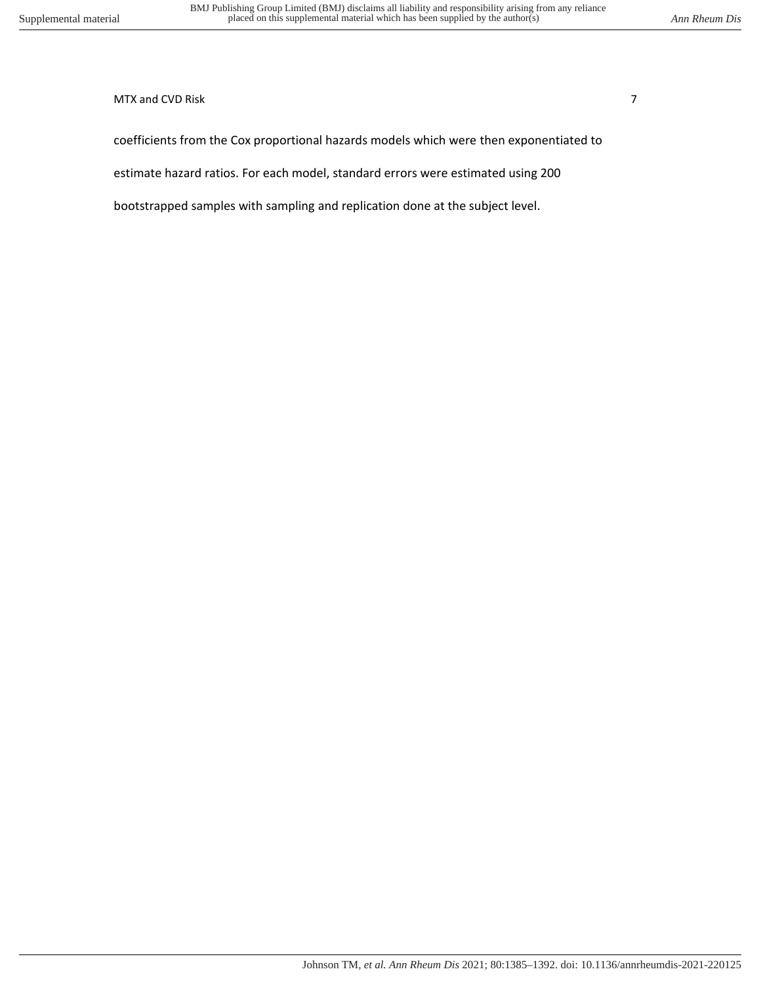## MTX and CVD Risk 7 and  $\overline{7}$

coefficients from the Cox proportional hazards models which were then exponentiated to

estimate hazard ratios. For each model, standard errors were estimated using 200

bootstrapped samples with sampling and replication done at the subject level.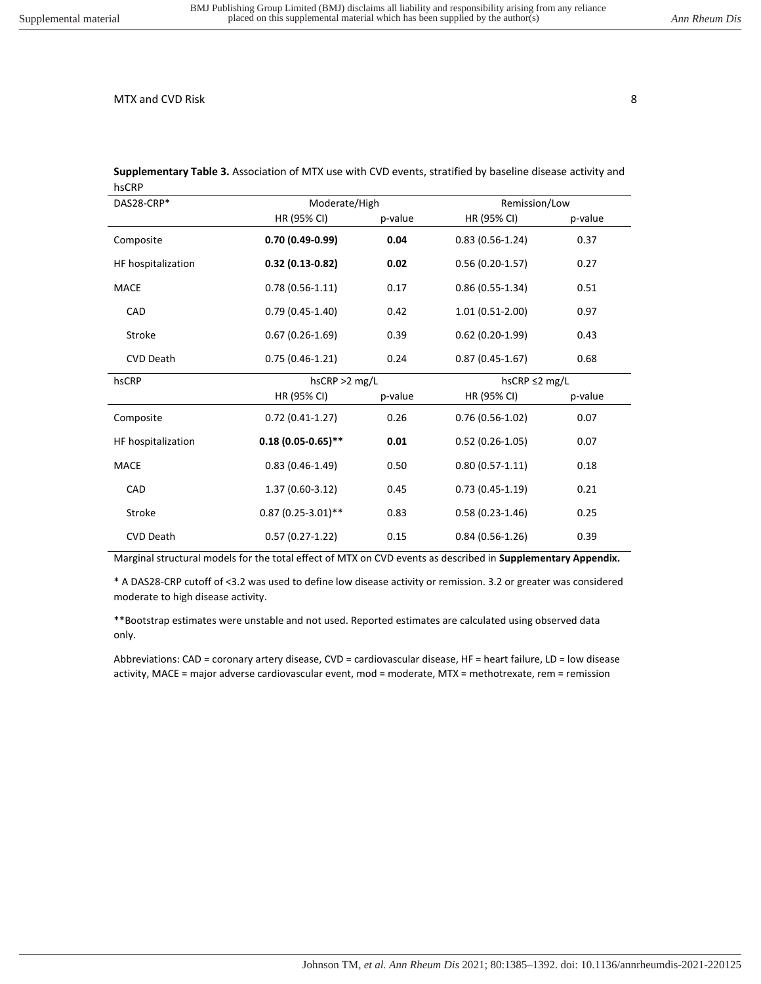| יייש               |                      |                  |                   |                     |  |
|--------------------|----------------------|------------------|-------------------|---------------------|--|
| DAS28-CRP*         |                      | Moderate/High    |                   | Remission/Low       |  |
|                    | HR (95% CI)          | p-value          | HR (95% CI)       | p-value             |  |
| Composite          | $0.70(0.49-0.99)$    | 0.04             | $0.83(0.56-1.24)$ | 0.37                |  |
| HF hospitalization | $0.32(0.13-0.82)$    | 0.02             | $0.56(0.20-1.57)$ | 0.27                |  |
| MACE               | $0.78(0.56-1.11)$    | 0.17             | $0.86(0.55-1.34)$ | 0.51                |  |
| CAD                | $0.79(0.45-1.40)$    | 0.42             | $1.01(0.51-2.00)$ | 0.97                |  |
| Stroke             | $0.67(0.26-1.69)$    | 0.39             | $0.62(0.20-1.99)$ | 0.43                |  |
| <b>CVD Death</b>   | $0.75(0.46-1.21)$    | 0.24             | $0.87(0.45-1.67)$ | 0.68                |  |
| hsCRP              |                      | $h$ sCRP >2 mg/L |                   | hsCRP $\leq$ 2 mg/L |  |
|                    | HR (95% CI)          | p-value          | HR (95% CI)       | p-value             |  |
| Composite          | $0.72(0.41-1.27)$    | 0.26             | $0.76(0.56-1.02)$ | 0.07                |  |
| HF hospitalization | $0.18(0.05-0.65)$ ** | 0.01             | $0.52(0.26-1.05)$ | 0.07                |  |
| <b>MACE</b>        | $0.83(0.46-1.49)$    | 0.50             | $0.80(0.57-1.11)$ | 0.18                |  |
| CAD                | $1.37(0.60-3.12)$    | 0.45             | $0.73(0.45-1.19)$ | 0.21                |  |
| Stroke             | $0.87(0.25-3.01)$ ** | 0.83             | $0.58(0.23-1.46)$ | 0.25                |  |
| <b>CVD Death</b>   | $0.57(0.27-1.22)$    | 0.15             | $0.84(0.56-1.26)$ | 0.39                |  |

**Supplementary Table 3.** Association of MTX use with CVD events, stratified by baseline disease activity and hsCRP

Marginal structural models for the total effect of MTX on CVD events as described in **Supplementary Appendix.**

\* A DAS28-CRP cutoff of <3.2 was used to define low disease activity or remission. 3.2 or greater was considered moderate to high disease activity.

\*\*Bootstrap estimates were unstable and not used. Reported estimates are calculated using observed data only.

Abbreviations: CAD = coronary artery disease, CVD = cardiovascular disease, HF = heart failure, LD = low disease activity, MACE = major adverse cardiovascular event, mod = moderate, MTX = methotrexate, rem = remission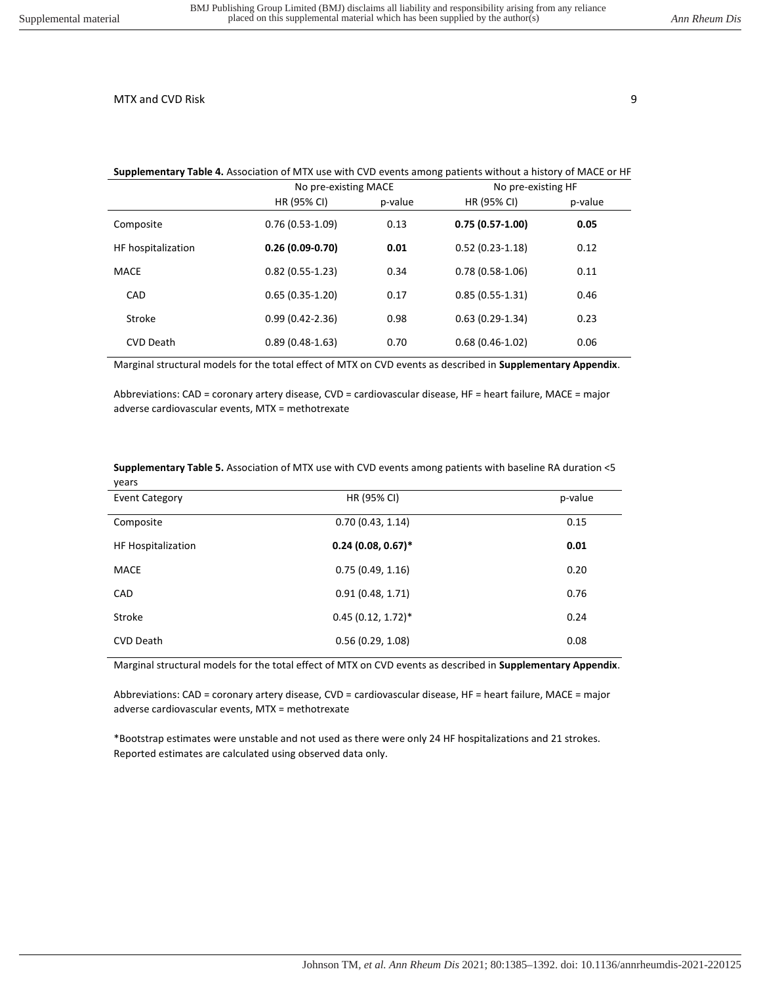#### **Supplementary Table 4.** Association of MTX use with CVD events among patients without a history of MACE or HF

|                    | No pre-existing MACE |         | No pre-existing HF |         |
|--------------------|----------------------|---------|--------------------|---------|
|                    | HR (95% CI)          | p-value | HR (95% CI)        | p-value |
| Composite          | $0.76(0.53-1.09)$    | 0.13    | $0.75(0.57-1.00)$  | 0.05    |
| HF hospitalization | $0.26(0.09-0.70)$    | 0.01    | $0.52(0.23-1.18)$  | 0.12    |
| MACE               | $0.82(0.55-1.23)$    | 0.34    | $0.78(0.58-1.06)$  | 0.11    |
| CAD                | $0.65(0.35-1.20)$    | 0.17    | $0.85(0.55-1.31)$  | 0.46    |
| Stroke             | $0.99(0.42 - 2.36)$  | 0.98    | $0.63(0.29-1.34)$  | 0.23    |
| CVD Death          | $0.89(0.48-1.63)$    | 0.70    | $0.68(0.46-1.02)$  | 0.06    |

Marginal structural models for the total effect of MTX on CVD events as described in **Supplementary Appendix**.

Abbreviations: CAD = coronary artery disease, CVD = cardiovascular disease, HF = heart failure, MACE = major adverse cardiovascular events, MTX = methotrexate

#### **Supplementary Table 5.** Association of MTX use with CVD events among patients with baseline RA duration <5 years

| <b>Event Category</b> | HR (95% CI)          | p-value |
|-----------------------|----------------------|---------|
| Composite             | 0.70(0.43, 1.14)     | 0.15    |
| HF Hospitalization    | $0.24(0.08, 0.67)^*$ | 0.01    |
| <b>MACE</b>           | 0.75(0.49, 1.16)     | 0.20    |
| CAD                   | 0.91(0.48, 1.71)     | 0.76    |
| Stroke                | $0.45(0.12, 1.72)^*$ | 0.24    |
| <b>CVD Death</b>      | 0.56(0.29, 1.08)     | 0.08    |

Marginal structural models for the total effect of MTX on CVD events as described in **Supplementary Appendix**.

Abbreviations: CAD = coronary artery disease, CVD = cardiovascular disease, HF = heart failure, MACE = major adverse cardiovascular events, MTX = methotrexate

\*Bootstrap estimates were unstable and not used as there were only 24 HF hospitalizations and 21 strokes. Reported estimates are calculated using observed data only.